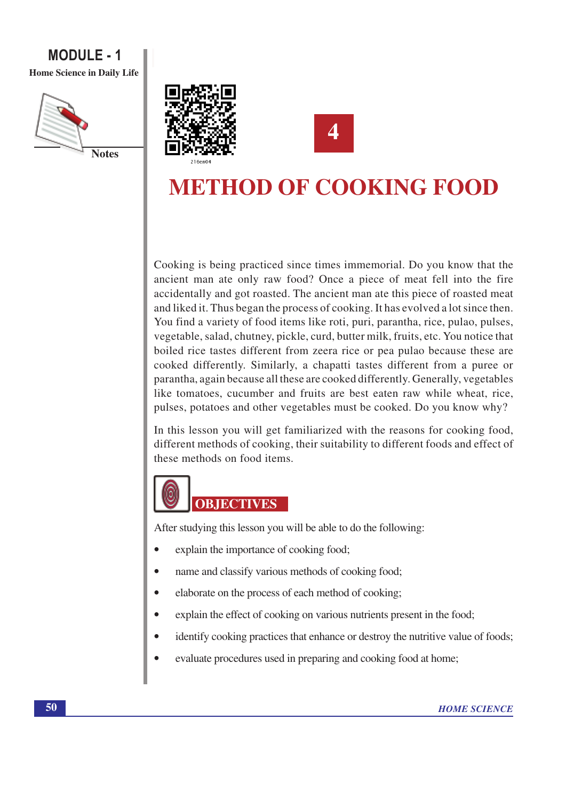# **MODULE - 1** Home Science in Daily Life







# **METHOD OF COOKING FOOD**

Cooking is being practiced since times immemorial. Do you know that the ancient man ate only raw food? Once a piece of meat fell into the fire accidentally and got roasted. The ancient man ate this piece of roasted meat and liked it. Thus began the process of cooking. It has evolved a lot since then. You find a variety of food items like roti, puri, parantha, rice, pulao, pulses, vegetable, salad, chutney, pickle, curd, butter milk, fruits, etc. You notice that boiled rice tastes different from zeera rice or pea pulao because these are cooked differently. Similarly, a chapatti tastes different from a puree or parantha, again because all these are cooked differently. Generally, vegetables like tomatoes, cucumber and fruits are best eaten raw while wheat, rice, pulses, potatoes and other vegetables must be cooked. Do you know why?

In this lesson you will get familiarized with the reasons for cooking food, different methods of cooking, their suitability to different foods and effect of these methods on food items.



After studying this lesson you will be able to do the following:

- explain the importance of cooking food;  $\bullet$
- name and classify various methods of cooking food;  $\bullet$
- elaborate on the process of each method of cooking;
- explain the effect of cooking on various nutrients present in the food;
- $\bullet$ identify cooking practices that enhance or destroy the nutritive value of foods;
- $\bullet$ evaluate procedures used in preparing and cooking food at home;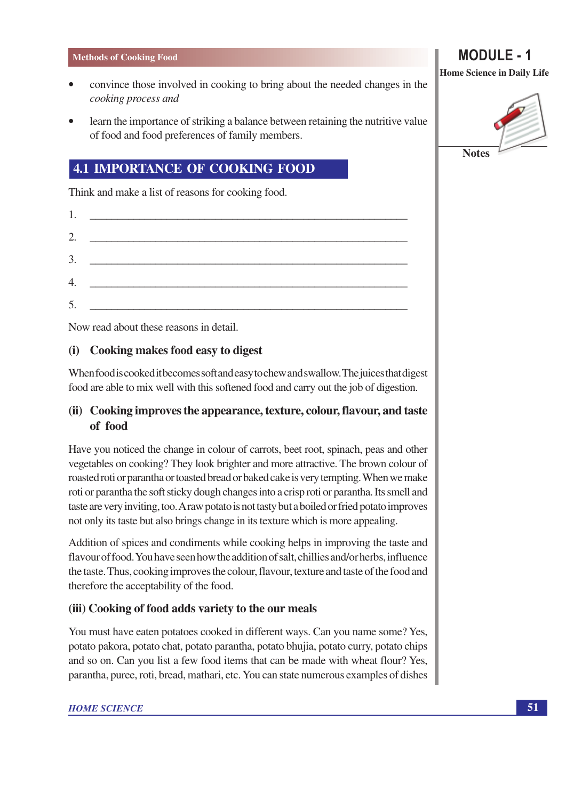- convince those involved in cooking to bring about the needed changes in the cooking process and
- learn the importance of striking a balance between retaining the nutritive value of food and food preferences of family members.

# **4.1 IMPORTANCE OF COOKING FOOD**

Think and make a list of reasons for cooking food.

|    | 1. $\qquad \qquad$                            |
|----|-----------------------------------------------|
|    | 2. $\qquad \qquad$                            |
| 3. | <u> 1980 - Andrea Andrew Maria (h. 1980).</u> |
|    | 4. $\qquad \qquad$                            |
|    |                                               |
| 5. |                                               |

Now read about these reasons in detail.

#### Cooking makes food easy to digest  $(i)$

When food is cooked it becomes soft and easy to chew and swallow. The juices that digest food are able to mix well with this softened food and carry out the job of digestion.

# (ii) Cooking improves the appearance, texture, colour, flavour, and taste of food

Have you noticed the change in colour of carrots, beet root, spinach, peas and other vegetables on cooking? They look brighter and more attractive. The brown colour of roasted roti or parantha or toasted bread or baked cake is very tempting. When we make roti or parantha the soft sticky dough changes into a crisp roti or parantha. Its smell and taste are very inviting, too. A raw potato is not tasty but a boiled or fried potato improves not only its taste but also brings change in its texture which is more appealing.

Addition of spices and condiments while cooking helps in improving the taste and flavour of food. You have seen how the addition of salt, chillies and/or herbs, influence the taste. Thus, cooking improves the colour, flavour, texture and taste of the food and therefore the acceptability of the food.

### (iii) Cooking of food adds variety to the our meals

You must have eaten potatoes cooked in different ways. Can you name some? Yes, potato pakora, potato chat, potato parantha, potato bhujia, potato curry, potato chips and so on. Can you list a few food items that can be made with wheat flour? Yes, parantha, puree, roti, bread, mathari, etc. You can state numerous examples of dishes

# **MODULE** - 1

**Home Science in Daily Life** 

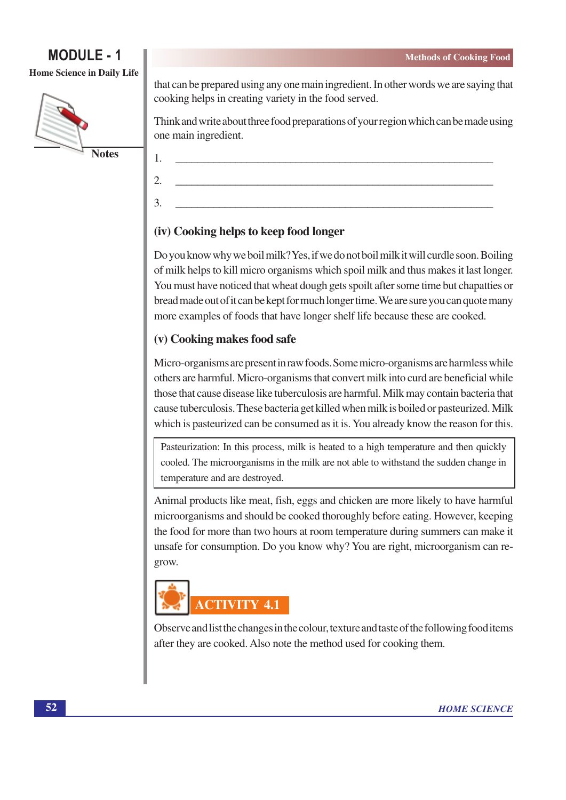Home Science in Daily Life



that can be prepared using any one main ingredient. In other words we are saying that cooking helps in creating variety in the food served.

Think and write about three food preparations of your region which can be made using one main ingredient.

(iv) Cooking helps to keep food longer

 $\mathbf{1}$ 

 $\mathcal{D}_{\alpha}$ 

3.

Do you know why we boil milk? Yes, if we do not boil milk it will curdle soon. Boiling of milk helps to kill micro organisms which spoil milk and thus makes it last longer. You must have noticed that wheat dough gets spoilt after some time but chapatties or bread made out of it can be kept for much longer time. We are sure you can quote many more examples of foods that have longer shelf life because these are cooked.

# (v) Cooking makes food safe

Micro-organisms are present in raw foods. Some micro-organisms are harmless while others are harmful. Micro-organisms that convert milk into curd are beneficial while those that cause disease like tuberculosis are harmful. Milk may contain bacteria that cause tuberculosis. These bacteria get killed when milk is boiled or pasteurized. Milk which is pasteurized can be consumed as it is. You already know the reason for this.

Pasteurization: In this process, milk is heated to a high temperature and then quickly cooled. The microorganisms in the milk are not able to withstand the sudden change in temperature and are destroved.

Animal products like meat, fish, eggs and chicken are more likely to have harmful microorganisms and should be cooked thoroughly before eating. However, keeping the food for more than two hours at room temperature during summers can make it unsafe for consumption. Do you know why? You are right, microorganism can regrow.



Observe and list the changes in the colour, texture and taste of the following food items after they are cooked. Also note the method used for cooking them.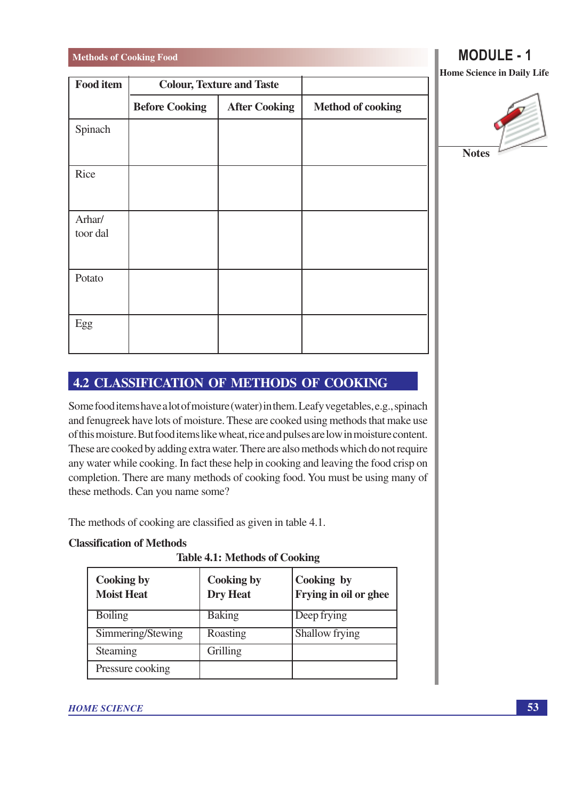| <b>Food item</b>   | <b>Colour, Texture and Taste</b> |                      |                          |
|--------------------|----------------------------------|----------------------|--------------------------|
|                    | <b>Before Cooking</b>            | <b>After Cooking</b> | <b>Method of cooking</b> |
| Spinach            |                                  |                      |                          |
| Rice               |                                  |                      |                          |
| Arhar/<br>toor dal |                                  |                      |                          |
| Potato             |                                  |                      |                          |
| Egg                |                                  |                      |                          |

**MODULE - 1** 

Home Science in Daily Life



# **4.2 CLASSIFICATION OF METHODS OF COOKING**

Some food items have a lot of moisture (water) in them. Leafy vegetables, e.g., spinach and fenugreek have lots of moisture. These are cooked using methods that make use of this moisture. But food items like wheat, rice and pulses are low in moisture content. These are cooked by adding extra water. There are also methods which do not require any water while cooking. In fact these help in cooking and leaving the food crisp on completion. There are many methods of cooking food. You must be using many of these methods. Can you name some?

The methods of cooking are classified as given in table 4.1.

### **Classification of Methods**

**Table 4.1: Methods of Cooking** 

| <b>Cooking by</b><br><b>Moist Heat</b> | <b>Cooking by</b><br><b>Dry Heat</b> | Cooking by<br><b>Frying in oil or ghee</b> |
|----------------------------------------|--------------------------------------|--------------------------------------------|
| <b>Boiling</b>                         | <b>Baking</b>                        | Deep frying                                |
| Simmering/Stewing                      | Roasting                             | Shallow frying                             |
| Steaming                               | Grilling                             |                                            |
| Pressure cooking                       |                                      |                                            |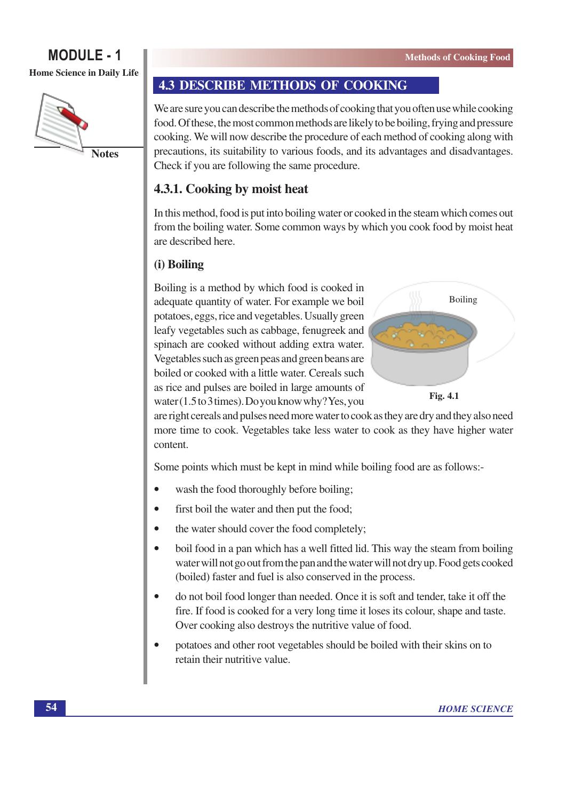# **MODULE - 1** Home Science in Daily Life



**Notes** 

# **4.3 DESCRIBE METHODS OF COOKING**

We are sure you can describe the methods of cooking that you often use while cooking food. Of these, the most common methods are likely to be boiling, frying and pressure cooking. We will now describe the procedure of each method of cooking along with precautions, its suitability to various foods, and its advantages and disadvantages. Check if you are following the same procedure.

# 4.3.1. Cooking by moist heat

In this method, food is put into boiling water or cooked in the steam which comes out from the boiling water. Some common ways by which you cook food by moist heat are described here.

# (i) Boiling

Boiling is a method by which food is cooked in adequate quantity of water. For example we boil potatoes, eggs, rice and vegetables. Usually green leafy vegetables such as cabbage, fenugreek and spinach are cooked without adding extra water. Vegetables such as green peas and green beans are boiled or cooked with a little water. Cereals such as rice and pulses are boiled in large amounts of water  $(1.5 \text{ to } 3 \text{ times})$ . Do you know why? Yes, you





are right cereals and pulses need more water to cook as they are dry and they also need more time to cook. Vegetables take less water to cook as they have higher water content.

Some points which must be kept in mind while boiling food are as follows:-

- wash the food thoroughly before boiling;  $\bullet$
- $\bullet$ first boil the water and then put the food;
- the water should cover the food completely;  $\bullet$
- boil food in a pan which has a well fitted lid. This way the steam from boiling  $\bullet$ water will not go out from the pan and the water will not dry up. Food gets cooked (boiled) faster and fuel is also conserved in the process.
- do not boil food longer than needed. Once it is soft and tender, take it off the  $\bullet$ fire. If food is cooked for a very long time it loses its colour, shape and taste. Over cooking also destroys the nutritive value of food.
- potatoes and other root vegetables should be boiled with their skins on to  $\epsilon$ retain their nutritive value.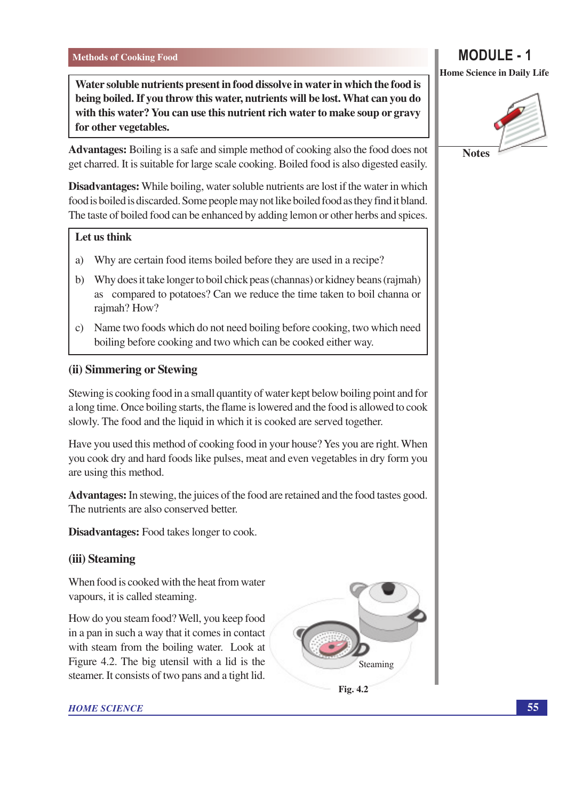Water soluble nutrients present in food dissolve in water in which the food is being boiled. If you throw this water, nutrients will be lost. What can you do with this water? You can use this nutrient rich water to make soup or gravy for other vegetables.

**Advantages:** Boiling is a safe and simple method of cooking also the food does not get charred. It is suitable for large scale cooking. Boiled food is also digested easily.

Disadvantages: While boiling, water soluble nutrients are lost if the water in which food is boiled is discarded. Some people may not like boiled food as they find it bland. The taste of boiled food can be enhanced by adding lemon or other herbs and spices.

### Let us think

- Why are certain food items boiled before they are used in a recipe? a)
- b) Why does it take longer to boil chick peas (channas) or kidney beans (rajmah) as compared to potatoes? Can we reduce the time taken to boil channa or rajmah? How?
- c) Name two foods which do not need boiling before cooking, two which need boiling before cooking and two which can be cooked either way.

### (ii) Simmering or Stewing

Stewing is cooking food in a small quantity of water kept below boiling point and for a long time. Once boiling starts, the flame is lowered and the food is allowed to cook slowly. The food and the liquid in which it is cooked are served together.

Have you used this method of cooking food in your house? Yes you are right. When you cook dry and hard foods like pulses, meat and even vegetables in dry form you are using this method.

**Advantages:** In stewing, the juices of the food are retained and the food tastes good. The nutrients are also conserved better.

**Disadvantages:** Food takes longer to cook.

### (iii) Steaming

When food is cooked with the heat from water vapours, it is called steaming.

How do you steam food? Well, you keep food in a pan in such a way that it comes in contact with steam from the boiling water. Look at Figure 4.2. The big utensil with a lid is the steamer. It consists of two pans and a tight lid.





### **HOME SCIENCE**



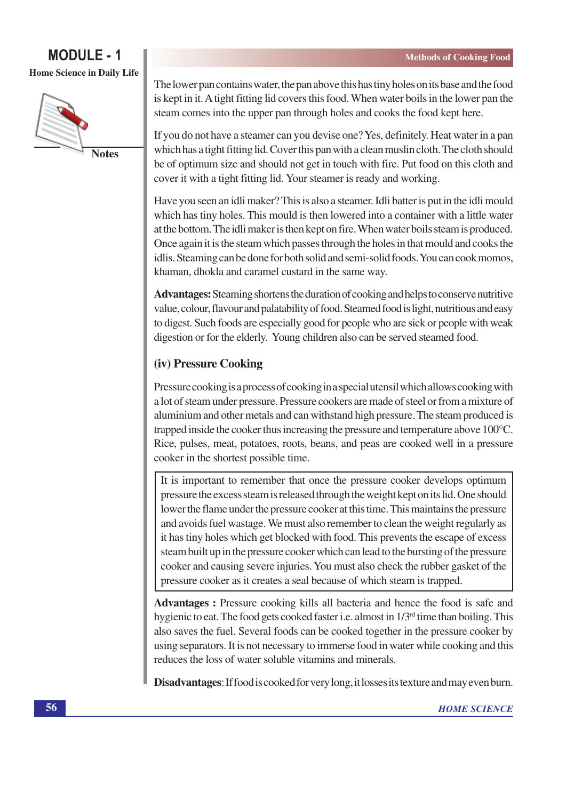# **MODULE** - 1 **Home Science in Daily Life**



The lower pan contains water, the pan above this has tiny holes on its base and the food is kept in it. A tight fitting lid covers this food. When water boils in the lower pan the steam comes into the upper pan through holes and cooks the food kept here.

If you do not have a steamer can you devise one? Yes, definitely. Heat water in a pan which has a tight fitting lid. Cover this pan with a clean muslin cloth. The cloth should be of optimum size and should not get in touch with fire. Put food on this cloth and cover it with a tight fitting lid. Your steamer is ready and working.

Have you seen an idli maker? This is also a steamer. Idli batter is put in the idli mould which has tiny holes. This mould is then lowered into a container with a little water at the bottom. The idli maker is then kept on fire. When water boils steam is produced. Once again it is the steam which passes through the holes in that mould and cooks the idlis. Steaming can be done for both solid and semi-solid foods. You can cook momos, khaman, dhokla and caramel custard in the same way.

**Advantages:** Steaming shortens the duration of cooking and helps to conserve nutritive value, colour, flavour and palatability of food. Steamed food is light, nutritious and easy to digest. Such foods are especially good for people who are sick or people with weak digestion or for the elderly. Young children also can be served steamed food.

# (iv) Pressure Cooking

Pressure cooking is a process of cooking in a special utensil which allows cooking with a lot of steam under pressure. Pressure cookers are made of steel or from a mixture of aluminium and other metals and can withstand high pressure. The steam produced is trapped inside the cooker thus increasing the pressure and temperature above  $100^{\circ}$ C. Rice, pulses, meat, potatoes, roots, beans, and peas are cooked well in a pressure cooker in the shortest possible time.

It is important to remember that once the pressure cooker develops optimum pressure the excess steam is released through the weight kept on its lid. One should lower the flame under the pressure cooker at this time. This maintains the pressure and avoids fuel wastage. We must also remember to clean the weight regularly as it has tiny holes which get blocked with food. This prevents the escape of excess steam built up in the pressure cooker which can lead to the bursting of the pressure cooker and causing severe injuries. You must also check the rubber gasket of the pressure cooker as it creates a seal because of which steam is trapped.

**Advantages :** Pressure cooking kills all bacteria and hence the food is safe and hygienic to eat. The food gets cooked faster i.e. almost in  $1/3<sup>rd</sup>$  time than boiling. This also saves the fuel. Several foods can be cooked together in the pressure cooker by using separators. It is not necessary to immerse food in water while cooking and this reduces the loss of water soluble vitamins and minerals.

**Disadvantages:** If food is cooked for very long, it losses its texture and may even burn.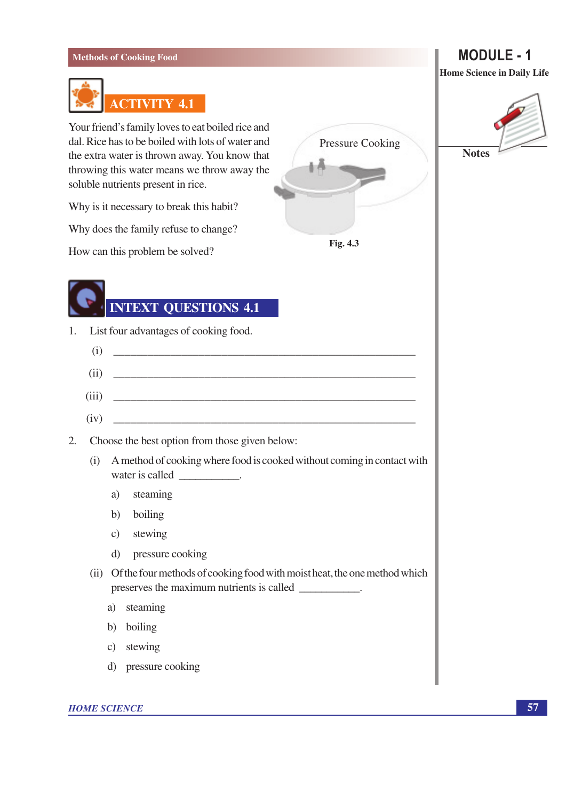

Your friend's family loves to eat boiled rice and dal. Rice has to be boiled with lots of water and the extra water is thrown away. You know that throwing this water means we throw away the soluble nutrients present in rice.

Why is it necessary to break this habit?

Why does the family refuse to change?

How can this problem be solved?

# **INTEXT QUESTIONS 4.1**

- List four advantages of cooking food.  $1.$ 
	- $(i)$
	- $(ii)$
	- $(iii)$
- $2.$ Choose the best option from those given bel
	- (i) A method of cooking where food is cool water is called \_\_\_\_\_\_\_\_\_\_\_\_.
		- steaming a)

 $(iv)$ 

- b) boiling
- c) stewing
- pressure cooking  $\mathbf{d}$
- (ii) Of the four methods of cooking food wit preserves the maximum nutrients is call
	- steaming a)
	- b) boiling
	- stewing  $\mathcal{C}$ )
	- d) pressure cooking

**HOME SCIENCE** 

# **MODULE - 1**

Home Science in Daily Life



| Pressure Cooking                                            |  |
|-------------------------------------------------------------|--|
|                                                             |  |
| <b>Fig. 4.3</b>                                             |  |
|                                                             |  |
| elow:                                                       |  |
| oked without coming in contact with                         |  |
| ith moist heat, the one method which<br>alled ____________. |  |
|                                                             |  |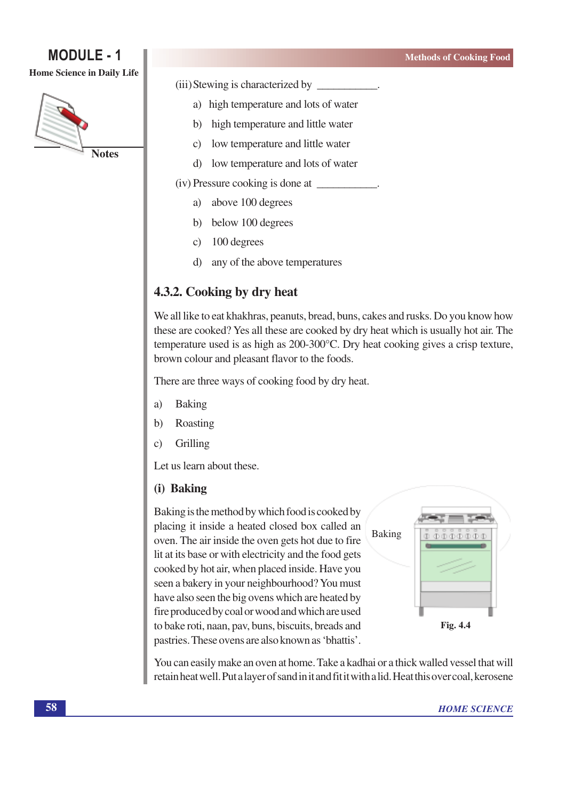#### Home Science in Daily Life



(iii) Stewing is characterized by

- a) high temperature and lots of water
- high temperature and little water  $\mathbf{b}$
- low temperature and little water  $\mathcal{C}$ )
- d) low temperature and lots of water
- (iv) Pressure cooking is done at
	- a) above 100 degrees
	- below 100 degrees  $b)$
	- 100 degrees  $\mathbf{c})$
	- any of the above temperatures d)

# 4.3.2. Cooking by dry heat

We all like to eat khakhras, peanuts, bread, buns, cakes and rusks. Do you know how these are cooked? Yes all these are cooked by dry heat which is usually hot air. The temperature used is as high as 200-300°C. Dry heat cooking gives a crisp texture, brown colour and pleasant flavor to the foods.

There are three ways of cooking food by dry heat.

- **Baking** a)
- $b)$ Roasting
- Grilling  $\mathbf{c}$

Let us learn about these.

### (i) Baking

Baking is the method by which food is cooked by placing it inside a heated closed box called an oven. The air inside the oven gets hot due to fire lit at its base or with electricity and the food gets cooked by hot air, when placed inside. Have you seen a bakery in your neighbourhood? You must have also seen the big ovens which are heated by fire produced by coal or wood and which are used to bake roti, naan, pav, buns, biscuits, breads and pastries. These ovens are also known as 'bhattis'.



You can easily make an oven at home. Take a kadhai or a thick walled vessel that will retain heat well. Put a layer of sand in it and fit it with a lid. Heat this over coal, kerosene

**Methods of Cooking Food**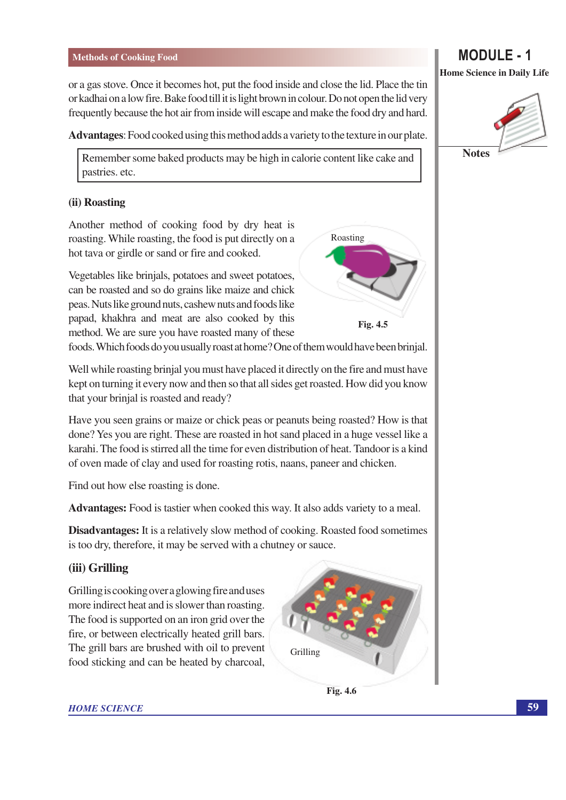or a gas stove. Once it becomes hot, put the food inside and close the lid. Place the tin or kadhai on a low fire. Bake food till it is light brown in colour. Do not open the lid very frequently because the hot air from inside will escape and make the food dry and hard.

**Advantages:** Food cooked using this method adds a variety to the texture in our plate.

Remember some baked products may be high in calorie content like cake and pastries. etc.

#### (ii) Roasting

Another method of cooking food by dry heat is roasting. While roasting, the food is put directly on a hot tava or girdle or sand or fire and cooked.

Vegetables like brinials, potatoes and sweet potatoes, can be roasted and so do grains like maize and chick peas. Nuts like ground nuts, cashew nuts and foods like papad, khakhra and meat are also cooked by this method. We are sure you have roasted many of these

Roasting Fig. 4.5

foods. Which foods do you usually roast at home? One of them would have been brinjal.

Well while roasting brinjal you must have placed it directly on the fire and must have kept on turning it every now and then so that all sides get roasted. How did you know that your brinial is roasted and ready?

Have you seen grains or maize or chick peas or peanuts being roasted? How is that done? Yes you are right. These are roasted in hot sand placed in a huge yessel like a karahi. The food is stirred all the time for even distribution of heat. Tandoor is a kind of oven made of clay and used for roasting rotis, naans, paneer and chicken.

Find out how else roasting is done.

**Advantages:** Food is tastier when cooked this way. It also adds variety to a meal.

**Disadvantages:** It is a relatively slow method of cooking. Roasted food sometimes is too dry, therefore, it may be served with a chutney or sauce.

#### (iii) Grilling

Grilling is cooking over a glowing fire and uses more indirect heat and is slower than roasting. The food is supported on an iron grid over the fire, or between electrically heated grill bars. The grill bars are brushed with oil to prevent food sticking and can be heated by charcoal,





#### **HOME SCIENCE**

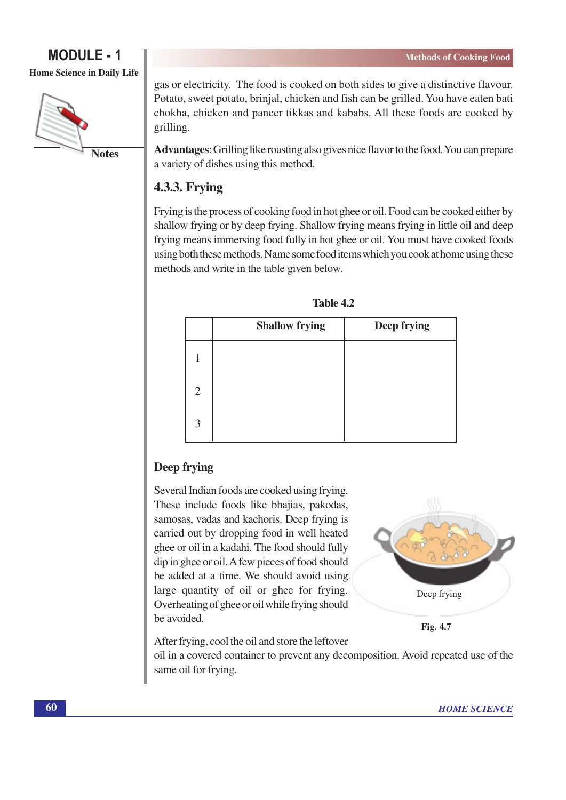Home Science in Daily Life



gas or electricity. The food is cooked on both sides to give a distinctive flavour. Potato, sweet potato, brinjal, chicken and fish can be grilled. You have eaten bati chokha, chicken and paneer tikkas and kababs. All these foods are cooked by grilling.

Advantages: Grilling like roasting also gives nice flavor to the food. You can prepare a variety of dishes using this method.

# **4.3.3. Frying**

Frying is the process of cooking food in hot ghee or oil. Food can be cooked either by shallow frying or by deep frying. Shallow frying means frying in little oil and deep frying means immersing food fully in hot ghee or oil. You must have cooked foods using both these methods. Name some food items which you cook at home using these methods and write in the table given below.

|                | <b>Shallow frying</b> | Deep frying |
|----------------|-----------------------|-------------|
|                |                       |             |
| $\overline{2}$ |                       |             |
| 3              |                       |             |

# Deep frying

Several Indian foods are cooked using frying. These include foods like bhajias, pakodas, samosas, vadas and kachoris. Deep frying is carried out by dropping food in well heated ghee or oil in a kadahi. The food should fully dip in ghee or oil. A few pieces of food should be added at a time. We should avoid using large quantity of oil or ghee for frying. Overheating of ghee or oil while frying should be avoided.



Fig. 4.7

After frying, cool the oil and store the leftover

oil in a covered container to prevent any decomposition. Avoid repeated use of the same oil for frying.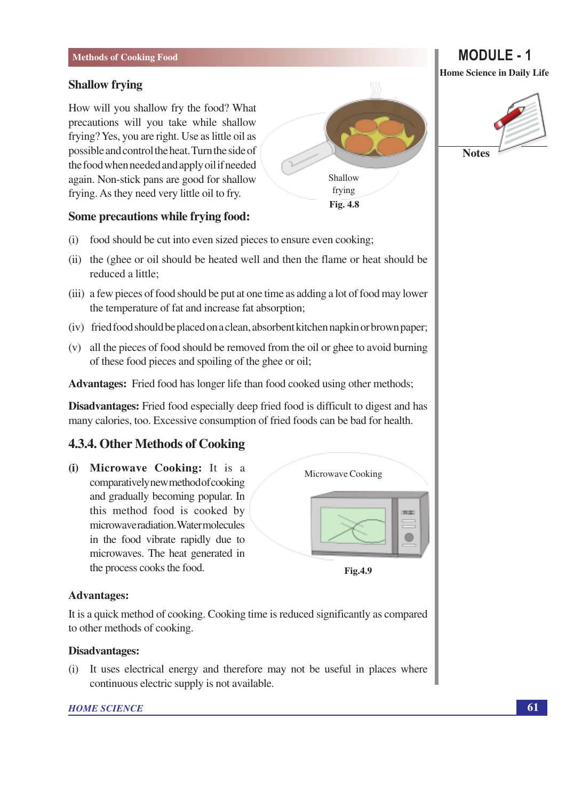#### **Shallow frying**

How will you shallow fry the food? What precautions will you take while shallow frying? Yes, you are right. Use as little oil as possible and control the heat. Turn the side of the food when needed and apply oil if needed again. Non-stick pans are good for shallow frying. As they need very little oil to fry.

### Some precautions while frying food:

- food should be cut into even sized pieces to ensure even cooking;  $(i)$
- (ii) the (ghee or oil should be heated well and then the flame or heat should be reduced a little;
- (iii) a few pieces of food should be put at one time as adding a lot of food may lower the temperature of fat and increase fat absorption;
- (iv) fried food should be placed on a clean, absorbent kitchen napkin or brown paper;
- (v) all the pieces of food should be removed from the oil or ghee to avoid burning of these food pieces and spoiling of the ghee or oil;

Advantages: Fried food has longer life than food cooked using other methods;

Disadvantages: Fried food especially deep fried food is difficult to digest and has many calories, too. Excessive consumption of fried foods can be bad for health.

### 4.3.4. Other Methods of Cooking

(i) Microwave Cooking: It is a comparatively new method of cooking and gradually becoming popular. In this method food is cooked by microwaveradiation. Watermolecules in the food vibrate rapidly due to microwaves. The heat generated in the process cooks the food.

Microwave Cooking



Fig.4.9

#### **Advantages:**

It is a quick method of cooking. Cooking time is reduced significantly as compared to other methods of cooking.

#### **Disadvantages:**

 $(i)$ It uses electrical energy and therefore may not be useful in places where continuous electric supply is not available.

#### **HOME SCIENCE**



**MODULE - 1 Home Science in Daily Life** 

**Notes**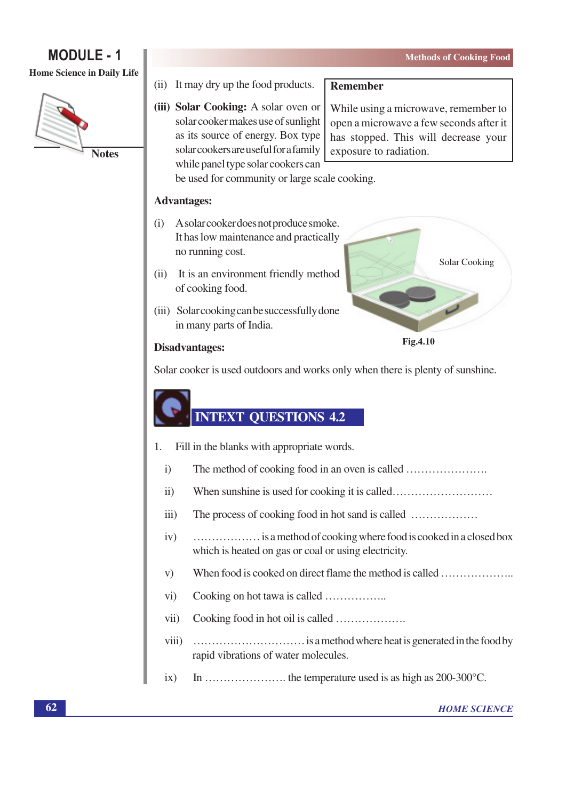# **MODULE - 1**

#### Home Science in Daily Life



- (ii) It may dry up the food products.
- (iii) Solar Cooking: A solar oven or solar cooker makes use of sunlight as its source of energy. Box type solar cookers are useful for a family while panel type solar cookers can

#### **Remember**

While using a microwave, remember to open a microwave a few seconds after it has stopped. This will decrease your exposure to radiation.

be used for community or large scale cooking.

#### **Advantages:**

- $(i)$ A solar cooker does not produce smoke. It has low maintenance and practically no running cost.
- (ii) It is an environment friendly method of cooking food.
- (iii) Solar cooking can be successfully done in many parts of India.



#### **Disadvantages:**

Solar cooker is used outdoors and works only when there is plenty of sunshine.

# **INTEXT QUESTIONS 4.2**

- Fill in the blanks with appropriate words.  $\mathbf{1}$ .
	- $\ddot{1}$ The method of cooking food in an oven is called .................................
	- $\ddot{11})$
	- $iii)$
	- $iv)$ ................... is a method of cooking where food is cooked in a closed box which is heated on gas or coal or using electricity.
	- $V)$ When food is cooked on direct flame the method is called .......................
	- $\rm vi)$
	- Cooking food in hot oil is called ...................  $vii)$
	- $viii)$ rapid vibrations of water molecules.
	- $ix)$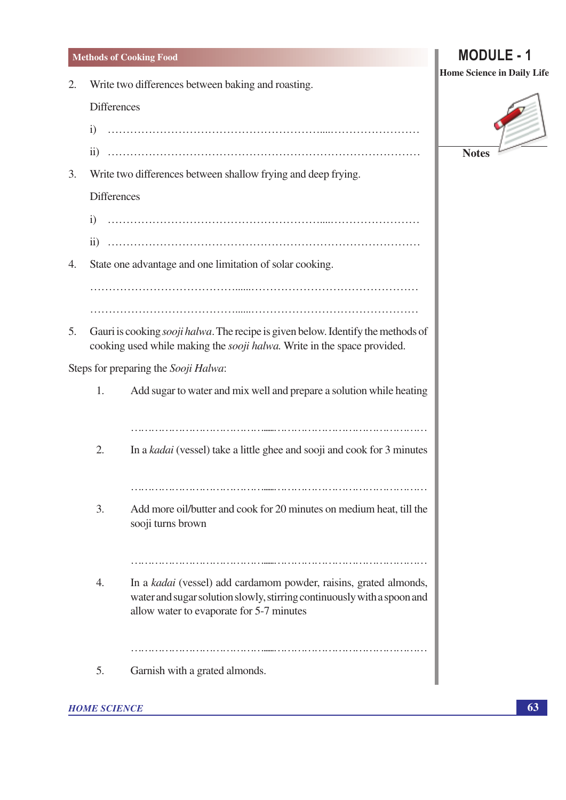#### 2. Write two differences between baking and roasting.

**Differences** 

- 
- 
- $3.$ Write two differences between shallow frying and deep frying.

**Differences** 

- 
- $4.$ State one advantage and one limitation of solar cooking.

5. Gauri is cooking *sooji halwa*. The recipe is given below. Identify the methods of cooking used while making the *sooji halwa*. Write in the space provided.

Steps for preparing the Sooji Halwa:

| 1.          | Add sugar to water and mix well and prepare a solution while heating                                                                                                                     |
|-------------|------------------------------------------------------------------------------------------------------------------------------------------------------------------------------------------|
|             |                                                                                                                                                                                          |
| 2.          | In a <i>kadai</i> (vessel) take a little ghee and sooji and cook for 3 minutes                                                                                                           |
|             |                                                                                                                                                                                          |
| 3.          | Add more oil/butter and cook for 20 minutes on medium heat, till the<br>sooji turns brown                                                                                                |
|             |                                                                                                                                                                                          |
| $\mathbf 4$ | In a kadai (vessel) add cardamom powder, raisins, grated almonds,<br>water and sugar solution slowly, stirring continuously with a spoon and<br>allow water to evaporate for 5-7 minutes |
|             |                                                                                                                                                                                          |
| 5.          | Garnish with a grated almonds.                                                                                                                                                           |

#### **HOME SCIENCE**

**MODULE - 1 Home Science in Daily Life** 

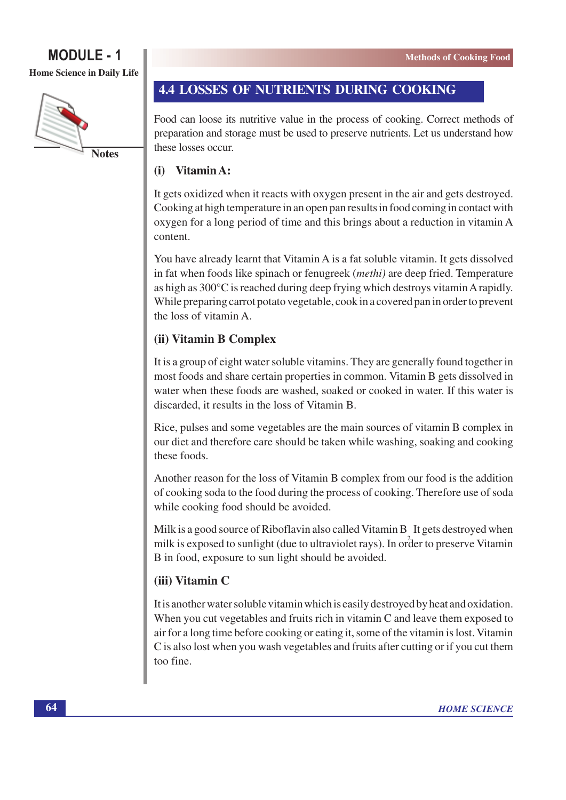Home Science in Daily Life



# 4.4 LOSSES OF NUTRIENTS DURING COOKING

Food can loose its nutritive value in the process of cooking. Correct methods of preparation and storage must be used to preserve nutrients. Let us understand how these losses occur

#### $(i)$ Vitamin A:

It gets oxidized when it reacts with oxygen present in the air and gets destroyed. Cooking at high temperature in an open pan results in food coming in contact with oxygen for a long period of time and this brings about a reduction in vitamin A content.

You have already learnt that Vitamin A is a fat soluble vitamin. It gets dissolved in fat when foods like spinach or fenugreek *(methi)* are deep fried. Temperature as high as 300°C is reached during deep frying which destroys vitamin A rapidly. While preparing carrot potato vegetable, cook in a covered pan in order to prevent the loss of vitamin A.

# (ii) Vitamin B Complex

It is a group of eight water soluble vitamins. They are generally found together in most foods and share certain properties in common. Vitamin B gets dissolved in water when these foods are washed, soaked or cooked in water. If this water is discarded, it results in the loss of Vitamin B.

Rice, pulses and some vegetables are the main sources of vitamin B complex in our diet and therefore care should be taken while washing, soaking and cooking these foods.

Another reason for the loss of Vitamin B complex from our food is the addition of cooking soda to the food during the process of cooking. Therefore use of soda while cooking food should be avoided.

Milk is a good source of Riboflavin also called Vitamin B It gets destroyed when milk is exposed to sunlight (due to ultraviolet rays). In order to preserve Vitamin B in food, exposure to sun light should be avoided.

# (iii) Vitamin C

It is another water soluble vitamin which is easily destroyed by heat and oxidation. When you cut vegetables and fruits rich in vitamin C and leave them exposed to air for a long time before cooking or eating it, some of the vitamin is lost. Vitamin C is also lost when you wash vegetables and fruits after cutting or if you cut them too fine.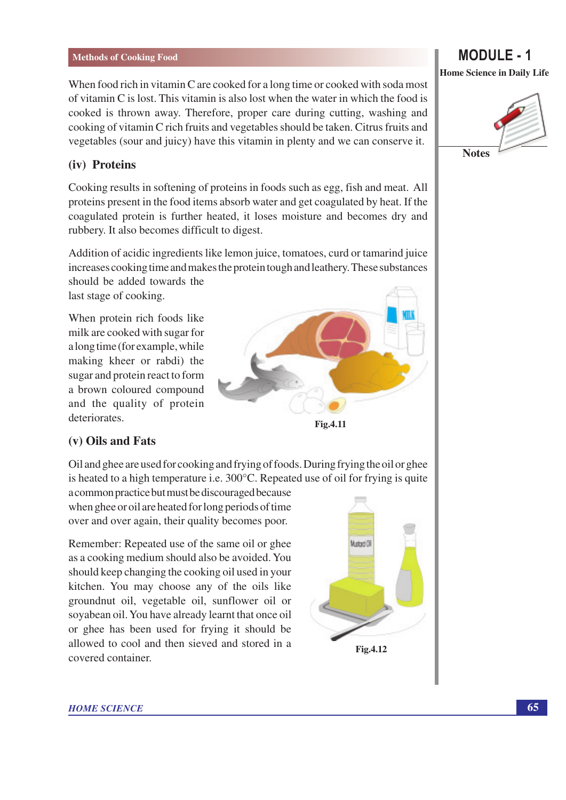When food rich in vitamin C are cooked for a long time or cooked with soda most of vitamin C is lost. This vitamin is also lost when the water in which the food is cooked is thrown away. Therefore, proper care during cutting, washing and cooking of vitamin C rich fruits and vegetables should be taken. Citrus fruits and vegetables (sour and juicy) have this vitamin in plenty and we can conserve it.

#### (iv) Proteins

Cooking results in softening of proteins in foods such as egg, fish and meat. All proteins present in the food items absorb water and get coagulated by heat. If the coagulated protein is further heated, it loses moisture and becomes dry and rubbery. It also becomes difficult to digest.

Addition of acidic ingredients like lemon juice, tomatoes, curd or tamarind juice increases cooking time and makes the protein tough and leathery. These substances

should be added towards the last stage of cooking.

When protein rich foods like milk are cooked with sugar for a long time (for example, while making kheer or rabdi) the sugar and protein react to form a brown coloured compound and the quality of protein deteriorates.



### (v) Oils and Fats

Oil and ghee are used for cooking and frying of foods. During frying the oil or ghee is heated to a high temperature i.e. 300°C. Repeated use of oil for frying is quite

a common practice but must be discouraged because when ghee or oil are heated for long periods of time over and over again, their quality becomes poor.

Remember: Repeated use of the same oil or ghee as a cooking medium should also be avoided. You should keep changing the cooking oil used in your kitchen. You may choose any of the oils like groundnut oil, vegetable oil, sunflower oil or soyabean oil. You have already learnt that once oil or ghee has been used for frying it should be allowed to cool and then sieved and stored in a covered container.



# **MODULE - 1**



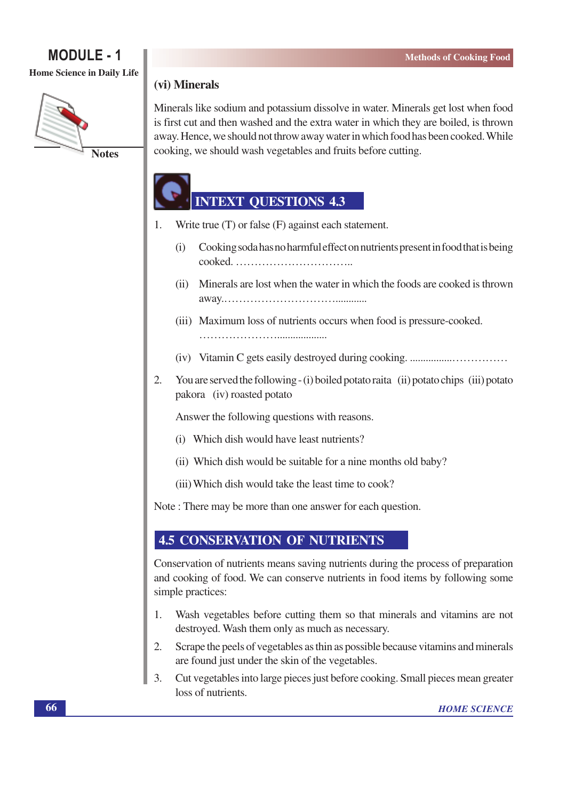Home Science in Daily Life



# (vi) Minerals

Minerals like sodium and potassium dissolve in water. Minerals get lost when food is first cut and then washed and the extra water in which they are boiled, is thrown away. Hence, we should not throw away water in which food has been cooked. While cooking, we should wash vegetables and fruits before cutting.

# **INTEXT QUESTIONS 4.3**

- Write true  $(T)$  or false  $(F)$  against each statement. 1.
	- Cooking soda has no harmful effect on nutrients present in food that is being  $(i)$  $\text{cooked.}$
	- (ii) Minerals are lost when the water in which the foods are cooked is thrown
	- (iii) Maximum loss of nutrients occurs when food is pressure-cooked.
	-
- $2.$ You are served the following - (i) boiled potato raita (ii) potato chips (iii) potato pakora (iv) roasted potato

Answer the following questions with reasons.

- (i) Which dish would have least nutrients?
- (ii) Which dish would be suitable for a nine months old baby?
- (iii) Which dish would take the least time to cook?

Note: There may be more than one answer for each question.

# **4.5 CONSERVATION OF NUTRIENTS**

Conservation of nutrients means saving nutrients during the process of preparation and cooking of food. We can conserve nutrients in food items by following some simple practices:

- Wash vegetables before cutting them so that minerals and vitamins are not 1. destroyed. Wash them only as much as necessary.
- Scrape the peels of vegetables as thin as possible because vitamins and minerals 2. are found just under the skin of the vegetables.
- 3. Cut vegetables into large pieces just before cooking. Small pieces mean greater loss of nutrients.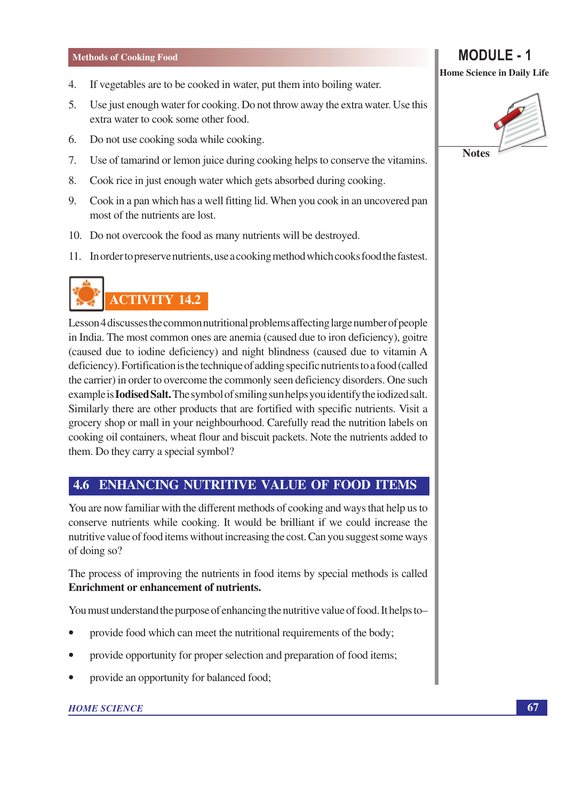- If vegetables are to be cooked in water, put them into boiling water.  $\overline{4}$ .
- $5<sub>1</sub>$ Use just enough water for cooking. Do not throw away the extra water. Use this extra water to cook some other food.
- 6. Do not use cooking soda while cooking.
- $7.$ Use of tamarind or lemon juice during cooking helps to conserve the vitamins.
- 8. Cook rice in just enough water which gets absorbed during cooking.
- Cook in a pan which has a well fitting lid. When you cook in an uncovered pan 9. most of the nutrients are lost.
- 10. Do not overcook the food as many nutrients will be destroyed.
- 11. In order to preserve nutrients, use a cooking method which cooks food the fastest.



Lesson 4 discusses the common nutritional problems affecting large number of people in India. The most common ones are anemia (caused due to iron deficiency), goitre (caused due to iodine deficiency) and night blindness (caused due to vitamin A deficiency). Fortification is the technique of adding specific nutrients to a food (called the carrier) in order to overcome the commonly seen deficiency disorders. One such example is **Iodised Salt.** The symbol of smiling sun helps you identify the iodized salt. Similarly there are other products that are fortified with specific nutrients. Visit a grocery shop or mall in your neighbourhood. Carefully read the nutrition labels on cooking oil containers, wheat flour and biscuit packets. Note the nutrients added to them. Do they carry a special symbol?

# **4.6 ENHANCING NUTRITIVE VALUE OF FOOD ITEMS**

You are now familiar with the different methods of cooking and ways that help us to conserve nutrients while cooking. It would be brilliant if we could increase the nutritive value of food items without increasing the cost. Can you suggest some ways of doing so?

The process of improving the nutrients in food items by special methods is called **Enrichment or enhancement of nutrients.** 

You must understand the purpose of enhancing the nutritive value of food. It helps to

- provide food which can meet the nutritional requirements of the body;
- provide opportunity for proper selection and preparation of food items;
- provide an opportunity for balanced food;

#### **HOME SCIENCE**

# **MODULE - 1**

**Home Science in Daily Life** 

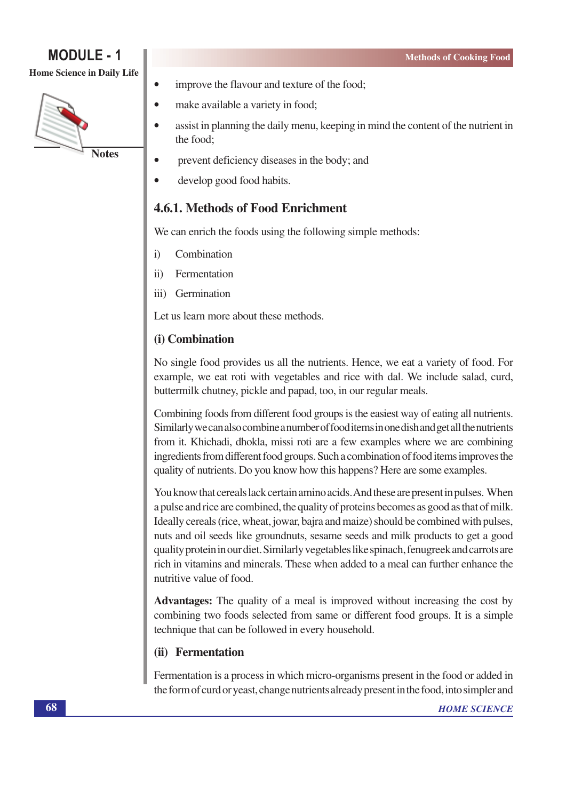Home Science in Daily Life



- improve the flavour and texture of the food;
- make available a variety in food;  $\bullet$ 
	- assist in planning the daily menu, keeping in mind the content of the nutrient in the food:
- $\bullet$ prevent deficiency diseases in the body; and
- develop good food habits.  $\blacksquare$

# 4.6.1. Methods of Food Enrichment

We can enrich the foods using the following simple methods:

Combination  $\ddot{1}$ 

 $\bullet$ 

- $\ddot{11}$ Fermentation
- iii) Germination

Let us learn more about these methods.

# (i) Combination

No single food provides us all the nutrients. Hence, we eat a variety of food. For example, we eat roti with vegetables and rice with dal. We include salad, curd, buttermilk chutney, pickle and papad, too, in our regular meals.

Combining foods from different food groups is the easiest way of eating all nutrients. Similarly we can also combine a number of food items in one dish and get all the nutrients from it. Khichadi, dhokla, missi roti are a few examples where we are combining ingredients from different food groups. Such a combination of food items improves the quality of nutrients. Do you know how this happens? Here are some examples.

You know that cereals lack certain amino acids. And these are present in pulses. When a pulse and rice are combined, the quality of proteins becomes as good as that of milk. Ideally cereals (rice, wheat, jowar, bajra and maize) should be combined with pulses, nuts and oil seeds like groundnuts, sesame seeds and milk products to get a good quality protein in our diet. Similarly vegetables like spinach, fenugreek and carrots are rich in vitamins and minerals. These when added to a meal can further enhance the nutritive value of food.

Advantages: The quality of a meal is improved without increasing the cost by combining two foods selected from same or different food groups. It is a simple technique that can be followed in every household.

### (ii) Fermentation

Fermentation is a process in which micro-organisms present in the food or added in the form of curd or yeast, change nutrients already present in the food, into simpler and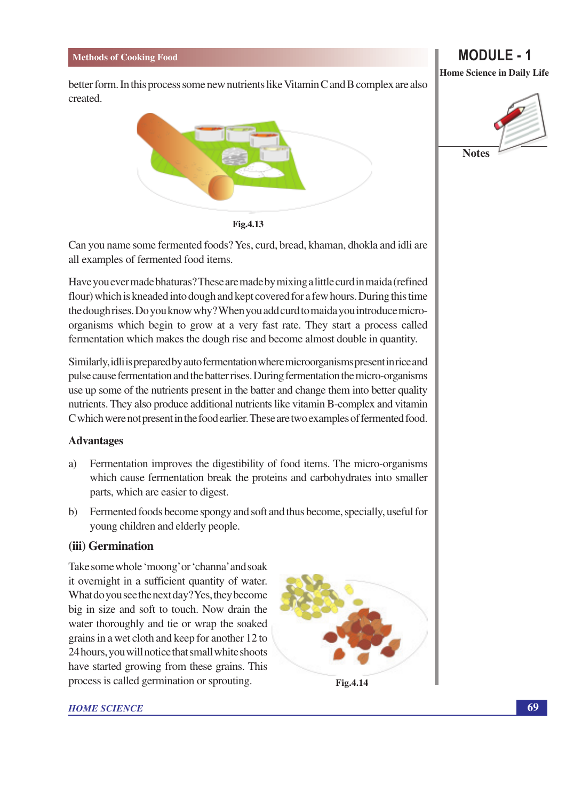better form. In this process some new nutrients like Vitamin C and B complex are also created.



Fig.4.13

Can you name some fermented foods? Yes, curd, bread, khaman, dhokla and idli are all examples of fermented food items.

Have you ever made bhaturas? These are made by mixing a little curd in maida (refined flour) which is kneaded into dough and kept covered for a few hours. During this time the dough rises. Do you know why? When you add curd to maida you introduce microorganisms which begin to grow at a very fast rate. They start a process called fermentation which makes the dough rise and become almost double in quantity.

Similarly, idli is prepared by auto fermentation where microorganisms present in rice and pulse cause fermentation and the batter rises. During fermentation the micro-organisms use up some of the nutrients present in the batter and change them into better quality nutrients. They also produce additional nutrients like vitamin B-complex and vitamin C which were not present in the food earlier. These are two examples of fermented food.

#### **Advantages**

- Fermentation improves the digestibility of food items. The micro-organisms a) which cause fermentation break the proteins and carbohydrates into smaller parts, which are easier to digest.
- $b)$ Fermented foods become spongy and soft and thus become, specially, useful for young children and elderly people.

### (iii) Germination

Take some whole 'moong' or 'channa' and soak it overnight in a sufficient quantity of water. What do you see the next day? Yes, they become big in size and soft to touch. Now drain the water thoroughly and tie or wrap the soaked grains in a wet cloth and keep for another 12 to 24 hours, you will notice that small white shoots have started growing from these grains. This process is called germination or sprouting.



**HOME SCIENCE** 

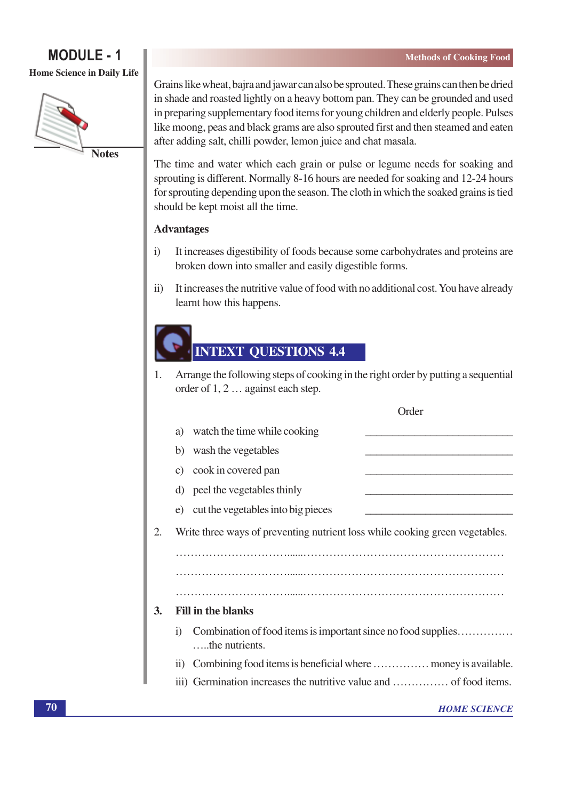# **MODULE - 1** Home Science in Daily Life



Grains like wheat, bajra and jawar can also be sprouted. These grains can then be dried in shade and roasted lightly on a heavy bottom pan. They can be grounded and used in preparing supplementary food items for young children and elderly people. Pulses like moong, peas and black grams are also sprouted first and then steamed and eaten after adding salt, chilli powder, lemon juice and chat masala.

The time and water which each grain or pulse or legume needs for soaking and sprouting is different. Normally 8-16 hours are needed for soaking and 12-24 hours for sprouting depending upon the season. The cloth in which the soaked grains is tied should be kept moist all the time.

# **Advantages**

- It increases digestibility of foods because some carbohydrates and proteins are  $\mathbf{i}$ broken down into smaller and easily digestible forms.
- $\mathbf{ii}$ It increases the nutritive value of food with no additional cost. You have already learnt how this happens.

# **INTEXT QUESTIONS 4.4**

Arrange the following steps of cooking in the right order by putting a sequential 1. order of 1, 2 ... against each step.

|           |                                                                                                   | Order               |
|-----------|---------------------------------------------------------------------------------------------------|---------------------|
|           | watch the time while cooking<br>a)                                                                |                     |
|           | wash the vegetables<br>b)                                                                         |                     |
|           | cook in covered pan<br>$\mathcal{C}$ )                                                            |                     |
|           | peel the vegetables thinly<br>d)                                                                  |                     |
|           | cut the vegetables into big pieces<br>e)                                                          |                     |
| 2.        | Write three ways of preventing nutrient loss while cooking green vegetables.                      |                     |
|           |                                                                                                   |                     |
|           |                                                                                                   |                     |
|           |                                                                                                   |                     |
| <b>3.</b> | <b>Fill in the blanks</b>                                                                         |                     |
|           | Combination of food items is important since no food supplies<br>$\overline{1}$<br>the nutrients. |                     |
|           | $\overline{11}$                                                                                   |                     |
|           |                                                                                                   |                     |
|           |                                                                                                   | <b>HOME SCIENCE</b> |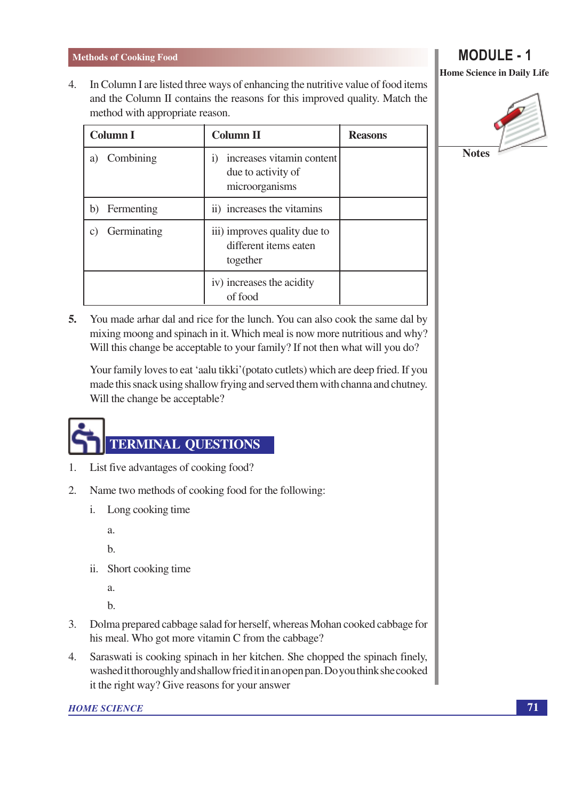In Column I are listed three ways of enhancing the nutritive value of food items 4. and the Column II contains the reasons for this improved quality. Match the method with appropriate reason.

| <b>Column I</b>             | <b>Column II</b>                                                               | <b>Reasons</b> |
|-----------------------------|--------------------------------------------------------------------------------|----------------|
| Combining<br>a)             | increases vitamin content<br>$\bf{1)}$<br>due to activity of<br>microorganisms |                |
| Fermenting<br>b)            | ii) increases the vitamins                                                     |                |
| Germinating<br>$\mathbf{C}$ | iii) improves quality due to<br>different items eaten<br>together              |                |
|                             | iv) increases the acidity<br>of food                                           |                |

 $5.$ You made arhar dal and rice for the lunch. You can also cook the same dal by mixing moong and spinach in it. Which meal is now more nutritious and why? Will this change be acceptable to your family? If not then what will you do?

Your family loves to eat 'aalu tikki' (potato cutlets) which are deep fried. If you made this snack using shallow frying and served them with channa and chutney. Will the change be acceptable?

# **TERMINAL QUESTIONS**

- $1.$ List five advantages of cooking food?
- $2.$ Name two methods of cooking food for the following:
	- i. Long cooking time

a.

 $<sub>b</sub>$ </sub>

ii. Short cooking time

 $\alpha$ .

 $<sub>b</sub>$ </sub>

- $3.$ Dolma prepared cabbage salad for herself, whereas Mohan cooked cabbage for his meal. Who got more vitamin C from the cabbage?
- Saraswati is cooking spinach in her kitchen. She chopped the spinach finely, 4. washed it thoroughly and shallow fried it in an open pan. Do you think she cooked it the right way? Give reasons for your answer

#### **HOME SCIENCE**

**MODULE - 1 Home Science in Daily Life** 

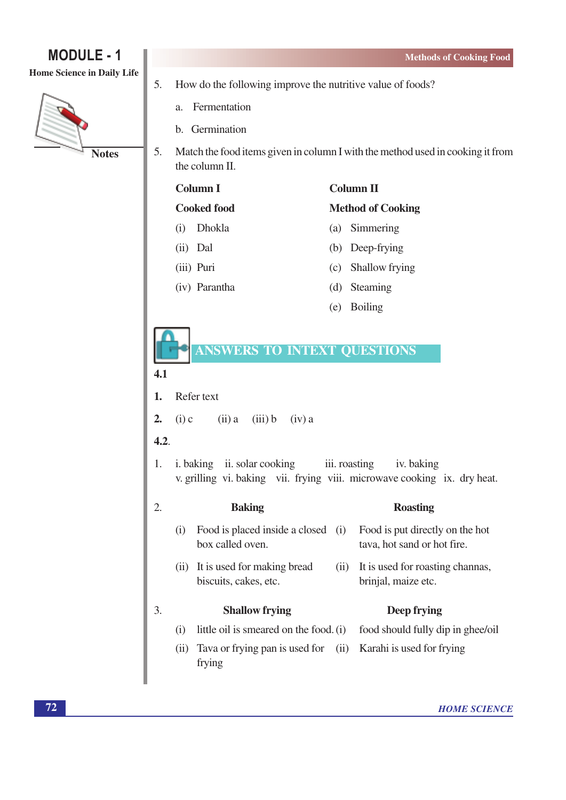#### Home Science in Daily Life



- 5. How do the following improve the nutritive value of foods?
	- Fermentation  $\alpha$ .
	- b. Germination
- $\overline{5}$ . Match the food items given in column I with the method used in cooking it from the column II.

# **Column I**

**Cooked food** 

- (i) Dhokla
- (ii) Dal
- (iii) Puri
- (iv) Parantha

# **Column II**

### **Method of Cooking**

- (a) Simmering
- (b) Deep-frying
- (c) Shallow frying
- (d) Steaming
- (e) Boiling

# **ANSWERS TO INTEXT QUESTIONS**

### $4.1$

Refer text 1.

 $2.$  $(i)$  c  $(ii)$  a  $(iii) b$  $(iv)$  a

### $4.2.$

i. baking ii. solar cooking iii. roasting iv. baking  $1<sub>1</sub>$ v. grilling vi. baking vii. frying viii. microwave cooking ix. dry heat.

#### $\mathcal{D}_{\alpha}$ **Baking Roasting** (i) Food is placed inside a closed (i) Food is put directly on the hot box called oven. tava, hot sand or hot fire. (ii) It is used for making bread (ii) It is used for roasting channas, biscuits, cakes, etc. brinjal, maize etc.  $\overline{3}$ . **Shallow frying** Deep frying little oil is smeared on the food. (i) food should fully dip in ghee/oil  $(i)$ (ii) Tava or frying pan is used for (ii) Karahi is used for frying

frying